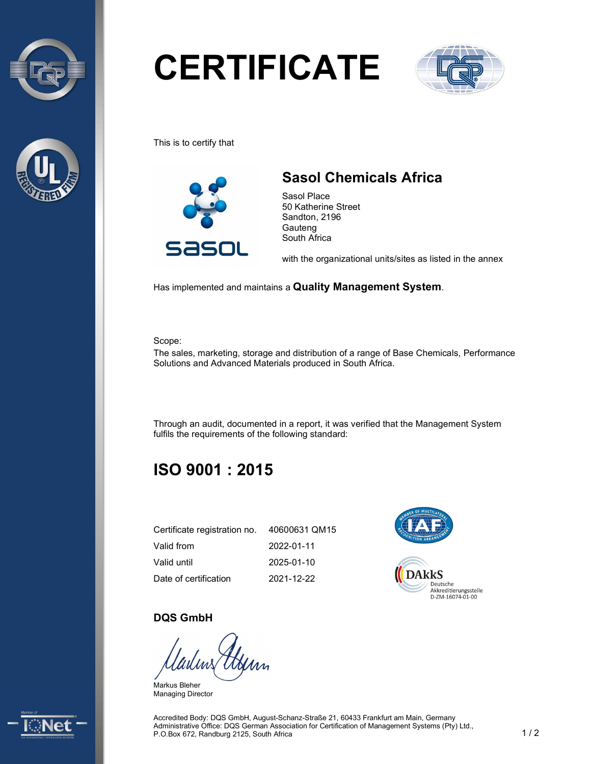



# **CERTIFICATE**



This is to certify that



## Sasol Chemicals Africa

Sasol Place 50 Katherine Street Sandton, 2196 Gauteng South Africa

with the organizational units/sites as listed in the annex

Has implemented and maintains a Quality Management System.

Scope:

The sales, marketing, storage and distribution of a range of Base Chemicals, Performance Solutions and Advanced Materials produced in South Africa.

Through an audit, documented in a report, it was verified that the Management System fulfils the requirements of the following standard:

## ISO 9001 : 2015

| Certificate registration no. 40600631 QM15 |            |
|--------------------------------------------|------------|
| Valid from                                 | 2022-01-11 |
| Valid until                                | 2025-01-10 |
| Date of certification                      | 2021-12-22 |



#### DQS GmbH

Markus Bleher Managing Director



Accredited Body: DQS GmbH, August-Schanz-Straße 21, 60433 Frankfurt am Main, Germany Administrative Office: DQS German Association for Certification of Management Systems (Pty) Ltd., P.O.Box 672, Randburg 2125, South Africa 1 / 2